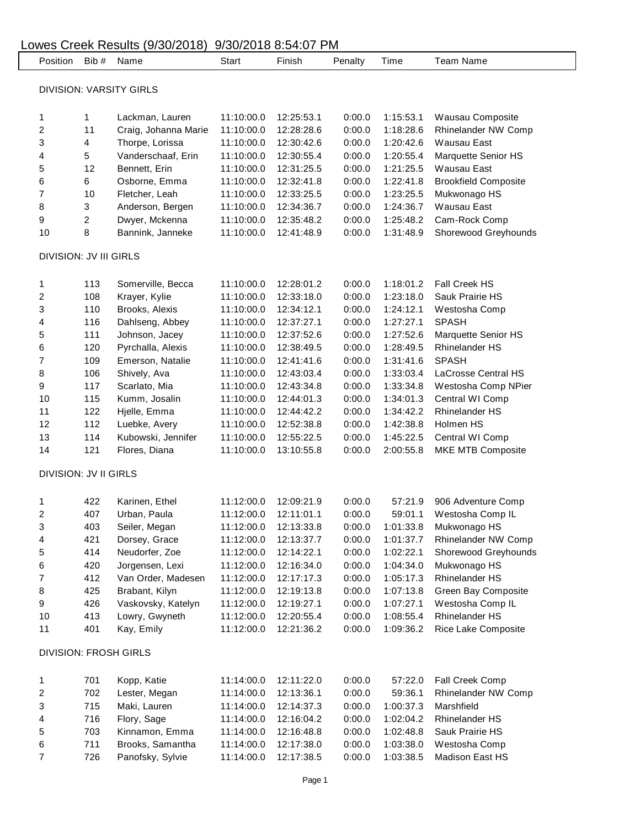| 9/30/2018 8:54:07 PM<br>Lowes Creek Results (9/30/2018) |                                |                              |                      |            |            |         |           |                             |  |  |  |  |  |
|---------------------------------------------------------|--------------------------------|------------------------------|----------------------|------------|------------|---------|-----------|-----------------------------|--|--|--|--|--|
|                                                         | Position                       | Bib #                        | Name                 | Start      | Finish     | Penalty | Time      | <b>Team Name</b>            |  |  |  |  |  |
|                                                         |                                |                              |                      |            |            |         |           |                             |  |  |  |  |  |
|                                                         | <b>DIVISION: VARSITY GIRLS</b> |                              |                      |            |            |         |           |                             |  |  |  |  |  |
|                                                         | 1                              | 1                            | Lackman, Lauren      | 11:10:00.0 | 12:25:53.1 | 0:00.0  | 1:15:53.1 | Wausau Composite            |  |  |  |  |  |
|                                                         | 2                              | 11                           | Craig, Johanna Marie | 11:10:00.0 | 12:28:28.6 | 0:00.0  | 1:18:28.6 | Rhinelander NW Comp         |  |  |  |  |  |
|                                                         | 3                              | 4                            | Thorpe, Lorissa      | 11:10:00.0 | 12:30:42.6 | 0:00.0  | 1:20:42.6 | Wausau East                 |  |  |  |  |  |
|                                                         | 4                              | 5                            | Vanderschaaf, Erin   | 11:10:00.0 | 12:30:55.4 | 0:00.0  | 1:20:55.4 | Marquette Senior HS         |  |  |  |  |  |
|                                                         | 5                              | 12                           | Bennett, Erin        | 11:10:00.0 | 12:31:25.5 | 0:00.0  | 1:21:25.5 | Wausau East                 |  |  |  |  |  |
|                                                         | 6                              | 6                            | Osborne, Emma        | 11:10:00.0 | 12:32:41.8 | 0:00.0  | 1:22:41.8 | <b>Brookfield Composite</b> |  |  |  |  |  |
|                                                         | 7                              | 10                           | Fletcher, Leah       | 11:10:00.0 | 12:33:25.5 | 0:00.0  | 1:23:25.5 | Mukwonago HS                |  |  |  |  |  |
|                                                         | 8                              | 3                            | Anderson, Bergen     | 11:10:00.0 | 12:34:36.7 | 0:00.0  | 1:24:36.7 | Wausau East                 |  |  |  |  |  |
|                                                         | 9                              | 2                            | Dwyer, Mckenna       | 11:10:00.0 | 12:35:48.2 | 0:00.0  | 1:25:48.2 | Cam-Rock Comp               |  |  |  |  |  |
|                                                         | 10                             | 8                            | Bannink, Janneke     | 11:10:00.0 | 12:41:48.9 | 0:00.0  | 1:31:48.9 | Shorewood Greyhounds        |  |  |  |  |  |
|                                                         |                                |                              |                      |            |            |         |           |                             |  |  |  |  |  |
|                                                         | DIVISION: JV III GIRLS         |                              |                      |            |            |         |           |                             |  |  |  |  |  |
|                                                         | 1                              | 113                          | Somerville, Becca    | 11:10:00.0 | 12:28:01.2 | 0:00.0  | 1:18:01.2 | Fall Creek HS               |  |  |  |  |  |
|                                                         | 2                              | 108                          | Krayer, Kylie        | 11:10:00.0 | 12:33:18.0 | 0:00.0  | 1:23:18.0 | Sauk Prairie HS             |  |  |  |  |  |
|                                                         | 3                              | 110                          | Brooks, Alexis       | 11:10:00.0 | 12:34:12.1 | 0:00.0  | 1:24:12.1 | Westosha Comp               |  |  |  |  |  |
|                                                         | 4                              | 116                          | Dahlseng, Abbey      | 11:10:00.0 | 12:37:27.1 | 0:00.0  | 1:27:27.1 | <b>SPASH</b>                |  |  |  |  |  |
|                                                         | 5                              | 111                          | Johnson, Jacey       | 11:10:00.0 | 12:37:52.6 | 0:00.0  | 1:27:52.6 | Marquette Senior HS         |  |  |  |  |  |
|                                                         | 6                              | 120                          | Pyrchalla, Alexis    | 11:10:00.0 | 12:38:49.5 | 0:00.0  | 1:28:49.5 | <b>Rhinelander HS</b>       |  |  |  |  |  |
|                                                         | 7                              | 109                          | Emerson, Natalie     | 11:10:00.0 | 12:41:41.6 | 0:00.0  | 1:31:41.6 | <b>SPASH</b>                |  |  |  |  |  |
|                                                         | 8                              | 106                          | Shively, Ava         | 11:10:00.0 | 12:43:03.4 | 0:00.0  | 1:33:03.4 | LaCrosse Central HS         |  |  |  |  |  |
|                                                         | 9                              | 117                          | Scarlato, Mia        | 11:10:00.0 | 12:43:34.8 | 0:00.0  | 1:33:34.8 | Westosha Comp NPier         |  |  |  |  |  |
|                                                         | 10                             | 115                          | Kumm, Josalin        | 11:10:00.0 | 12:44:01.3 | 0:00.0  | 1:34:01.3 | Central WI Comp             |  |  |  |  |  |
|                                                         | 11                             | 122                          | Hjelle, Emma         | 11:10:00.0 | 12:44:42.2 | 0:00.0  | 1:34:42.2 | <b>Rhinelander HS</b>       |  |  |  |  |  |
|                                                         | 12                             | 112                          | Luebke, Avery        | 11:10:00.0 | 12:52:38.8 | 0:00.0  | 1:42:38.8 | Holmen HS                   |  |  |  |  |  |
|                                                         | 13                             | 114                          | Kubowski, Jennifer   | 11:10:00.0 | 12:55:22.5 | 0:00.0  | 1:45:22.5 | Central WI Comp             |  |  |  |  |  |
|                                                         | 14                             | 121                          | Flores, Diana        | 11:10:00.0 | 13:10:55.8 | 0:00.0  | 2:00:55.8 | MKE MTB Composite           |  |  |  |  |  |
|                                                         |                                | <b>DIVISION: JV II GIRLS</b> |                      |            |            |         |           |                             |  |  |  |  |  |
|                                                         |                                |                              |                      |            |            |         |           |                             |  |  |  |  |  |
|                                                         | 1                              | 422                          | Karinen, Ethel       | 11:12:00.0 | 12:09:21.9 | 0:00.0  | 57:21.9   | 906 Adventure Comp          |  |  |  |  |  |
|                                                         | 2                              | 407                          | Urban, Paula         | 11:12:00.0 | 12:11:01.1 | 0:00.0  | 59:01.1   | Westosha Comp IL            |  |  |  |  |  |
|                                                         | 3                              | 403                          | Seiler, Megan        | 11:12:00.0 | 12:13:33.8 | 0:00.0  | 1:01:33.8 | Mukwonago HS                |  |  |  |  |  |
|                                                         | 4                              | 421                          | Dorsey, Grace        | 11:12:00.0 | 12:13:37.7 | 0:00.0  | 1:01:37.7 | Rhinelander NW Comp         |  |  |  |  |  |
|                                                         | 5                              | 414                          | Neudorfer, Zoe       | 11:12:00.0 | 12:14:22.1 | 0:00.0  | 1:02:22.1 | Shorewood Greyhounds        |  |  |  |  |  |
|                                                         | 6                              | 420                          | Jorgensen, Lexi      | 11:12:00.0 | 12:16:34.0 | 0:00.0  | 1:04:34.0 | Mukwonago HS                |  |  |  |  |  |
|                                                         | 7                              | 412                          | Van Order, Madesen   | 11:12:00.0 | 12:17:17.3 | 0:00.0  | 1:05:17.3 | Rhinelander HS              |  |  |  |  |  |
|                                                         | 8                              | 425                          | Brabant, Kilyn       | 11:12:00.0 | 12:19:13.8 | 0:00.0  | 1:07:13.8 | Green Bay Composite         |  |  |  |  |  |
|                                                         | 9                              | 426                          | Vaskovsky, Katelyn   | 11:12:00.0 | 12:19:27.1 | 0:00.0  | 1:07:27.1 | Westosha Comp IL            |  |  |  |  |  |
|                                                         | $10$                           | 413                          | Lowry, Gwyneth       | 11:12:00.0 | 12:20:55.4 | 0:00.0  | 1:08:55.4 | Rhinelander HS              |  |  |  |  |  |
|                                                         | 11                             | 401                          | Kay, Emily           | 11:12:00.0 | 12:21:36.2 | 0:00.0  | 1:09:36.2 | Rice Lake Composite         |  |  |  |  |  |
| <b>DIVISION: FROSH GIRLS</b>                            |                                |                              |                      |            |            |         |           |                             |  |  |  |  |  |
|                                                         |                                |                              |                      |            |            |         |           |                             |  |  |  |  |  |
|                                                         | 1                              | 701                          | Kopp, Katie          | 11:14:00.0 | 12:11:22.0 | 0:00.0  | 57:22.0   | Fall Creek Comp             |  |  |  |  |  |
|                                                         | 2                              | 702                          | Lester, Megan        | 11:14:00.0 | 12:13:36.1 | 0:00.0  | 59:36.1   | Rhinelander NW Comp         |  |  |  |  |  |
|                                                         | 3                              | 715                          | Maki, Lauren         | 11:14:00.0 | 12:14:37.3 | 0:00.0  | 1:00:37.3 | Marshfield                  |  |  |  |  |  |
|                                                         | 4                              | 716                          | Flory, Sage          | 11:14:00.0 | 12:16:04.2 | 0:00.0  | 1:02:04.2 | <b>Rhinelander HS</b>       |  |  |  |  |  |
|                                                         | 5                              | 703                          | Kinnamon, Emma       | 11:14:00.0 | 12:16:48.8 | 0:00.0  | 1:02:48.8 | Sauk Prairie HS             |  |  |  |  |  |
|                                                         | 6                              | 711                          | Brooks, Samantha     | 11:14:00.0 | 12:17:38.0 | 0:00.0  | 1:03:38.0 | Westosha Comp               |  |  |  |  |  |
|                                                         | $\overline{\mathbf{7}}$        | 726                          | Panofsky, Sylvie     | 11:14:00.0 | 12:17:38.5 | 0:00.0  | 1:03:38.5 | Madison East HS             |  |  |  |  |  |
|                                                         |                                |                              |                      |            |            |         |           |                             |  |  |  |  |  |